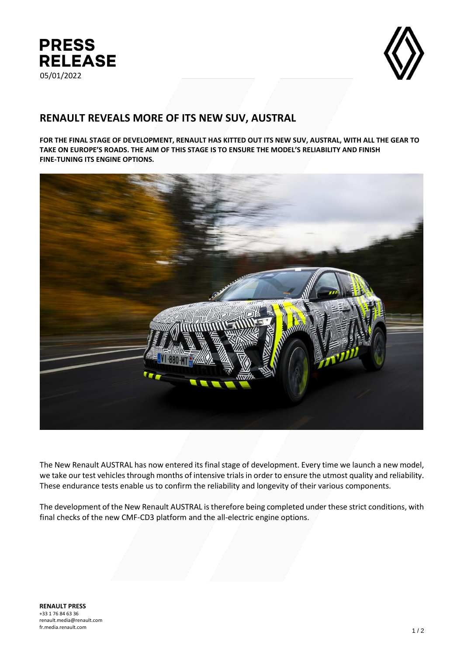



# **RENAULT REVEALS MORE OF ITS NEW SUV, AUSTRAL**

**FOR THE FINAL STAGE OF DEVELOPMENT, RENAULT HAS KITTED OUT ITS NEW SUV, AUSTRAL, WITH ALL THE GEAR TO TAKE ON EUROPE'S ROADS. THE AIM OF THIS STAGE IS TO ENSURE THE MODEL'S RELIABILITY AND FINISH FINE-TUNING ITS ENGINE OPTIONS.**



The New Renault AUSTRAL has now entered its final stage of development. Every time we launch a new model, we take our test vehicles through months of intensive trials in order to ensure the utmost quality and reliability. These endurance tests enable us to confirm the reliability and longevity of their various components.

The development of the New Renault AUSTRAL is therefore being completed under these strict conditions, with final checks of the new CMF-CD3 platform and the all-electric engine options.

**RENAULT PRESS** +33 1 76 84 63 36 renault.media@renault.com fr.media.renault.com